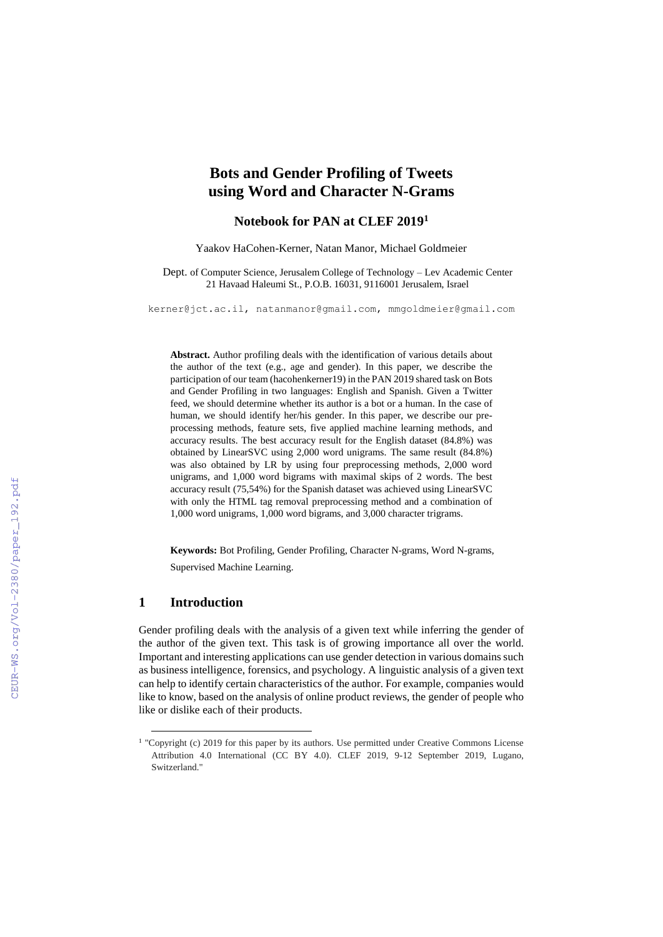# **Bots and Gender Profiling of Tweets using Word and Character N-Grams**

# **Notebook for PAN at CLEF 2019 1**

Yaakov HaCohen-Kerner, Natan Manor, Michael Goldmeier

Dept. of Computer Science, Jerusalem College of Technology – Lev Academic Center 21 Havaad Haleumi St., P.O.B. 16031, 9116001 Jerusalem, Israel

[kerner@jct.ac.il,](mailto:kerner@jct.ac.il) natanmanor@gmail.com, mmgoldmeier@gmail.com

**Abstract.** Author profiling deals with the identification of various details about the author of the text (e.g., age and gender). In this paper, we describe the participation of our team (hacohenkerner19) in the PAN 2019 shared task on Bots and Gender Profiling in two languages: English and Spanish. Given a Twitter feed, we should determine whether its author is a bot or a human. In the case of human, we should identify her/his gender. In this paper, we describe our preprocessing methods, feature sets, five applied machine learning methods, and accuracy results. The best accuracy result for the English dataset (84.8%) was obtained by LinearSVC using 2,000 word unigrams. The same result (84.8%) was also obtained by LR by using four preprocessing methods, 2,000 word unigrams, and 1,000 word bigrams with maximal skips of 2 words. The best accuracy result (75,54%) for the Spanish dataset was achieved using LinearSVC with only the HTML tag removal preprocessing method and a combination of 1,000 word unigrams, 1,000 word bigrams, and 3,000 character trigrams.

**Keywords:** Bot Profiling, Gender Profiling, Character N-grams, Word N-grams, Supervised Machine Learning.

## **1 Introduction**

1

Gender profiling deals with the analysis of a given text while inferring the gender of the author of the given text. This task is of growing importance all over the world. Important and interesting applications can use gender detection in various domains such as business intelligence, forensics, and psychology. A linguistic analysis of a given text can help to identify certain characteristics of the author. For example, companies would like to know, based on the analysis of online product reviews, the gender of people who like or dislike each of their products.

<sup>&</sup>lt;sup>1</sup> "Copyright (c) 2019 for this paper by its authors. Use permitted under Creative Commons License Attribution 4.0 International (CC BY 4.0). CLEF 2019, 9-12 September 2019, Lugano, Switzerland."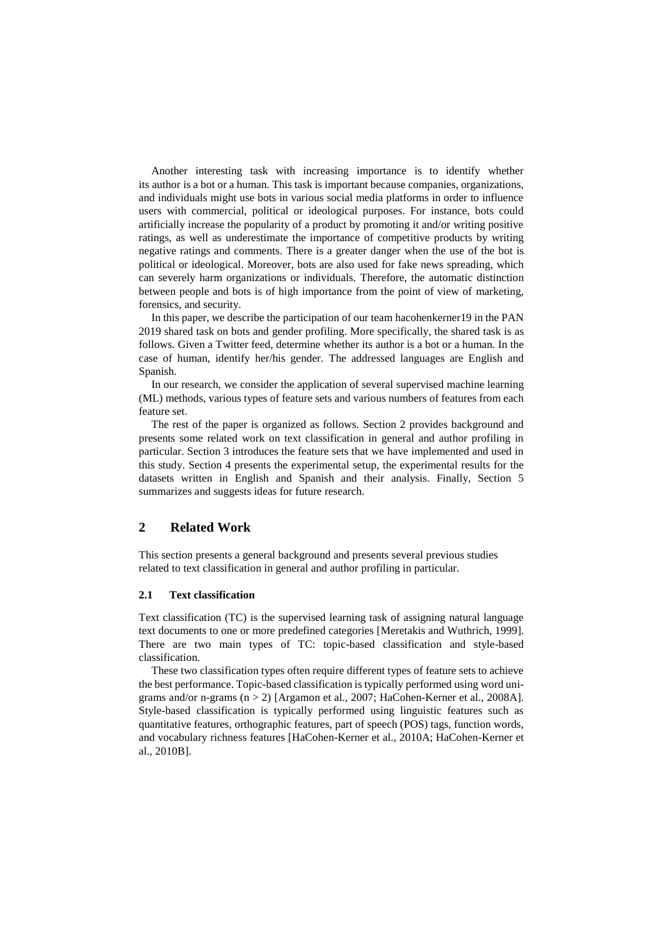Another interesting task with increasing importance is to identify whether its author is a bot or a human. This task is important because companies, organizations, and individuals might use bots in various social media platforms in order to influence users with commercial, political or ideological purposes. For instance, bots could artificially increase the popularity of a product by promoting it and/or writing positive ratings, as well as underestimate the importance of competitive products by writing negative ratings and comments. There is a greater danger when the use of the bot is political or ideological. Moreover, bots are also used for fake news spreading, which can severely harm organizations or individuals. Therefore, the automatic distinction between people and bots is of high importance from the point of view of marketing, forensics, and security.

In this paper, we describe the participation of our team hacohenkerner19 in the PAN 2019 shared task on bots and gender profiling. More specifically, the shared task is as follows. Given a Twitter feed, determine whether its author is a bot or a human. In the case of human, identify her/his gender. The addressed languages are English and Spanish.

In our research, we consider the application of several supervised machine learning (ML) methods, various types of feature sets and various numbers of features from each feature set.

The rest of the paper is organized as follows. Section 2 provides background and presents some related work on text classification in general and author profiling in particular. Section 3 introduces the feature sets that we have implemented and used in this study. Section 4 presents the experimental setup, the experimental results for the datasets written in English and Spanish and their analysis. Finally, Section 5 summarizes and suggests ideas for future research.

# **2 Related Work**

This section presents a general background and presents several previous studies related to text classification in general and author profiling in particular.

#### **2.1 Text classification**

Text classification (TC) is the supervised learning task of assigning natural language text documents to one or more predefined categories [Meretakis and Wuthrich, 1999]. There are two main types of TC: topic-based classification and style-based classification.

These two classification types often require different types of feature sets to achieve the best performance. Topic-based classification is typically performed using word unigrams and/or n-grams (n > 2) [Argamon et al., 2007; HaCohen-Kerner et al., 2008A]. Style-based classification is typically performed using linguistic features such as quantitative features, orthographic features, part of speech (POS) tags, function words, and vocabulary richness features [HaCohen-Kerner et al., 2010A; HaCohen-Kerner et al., 2010B].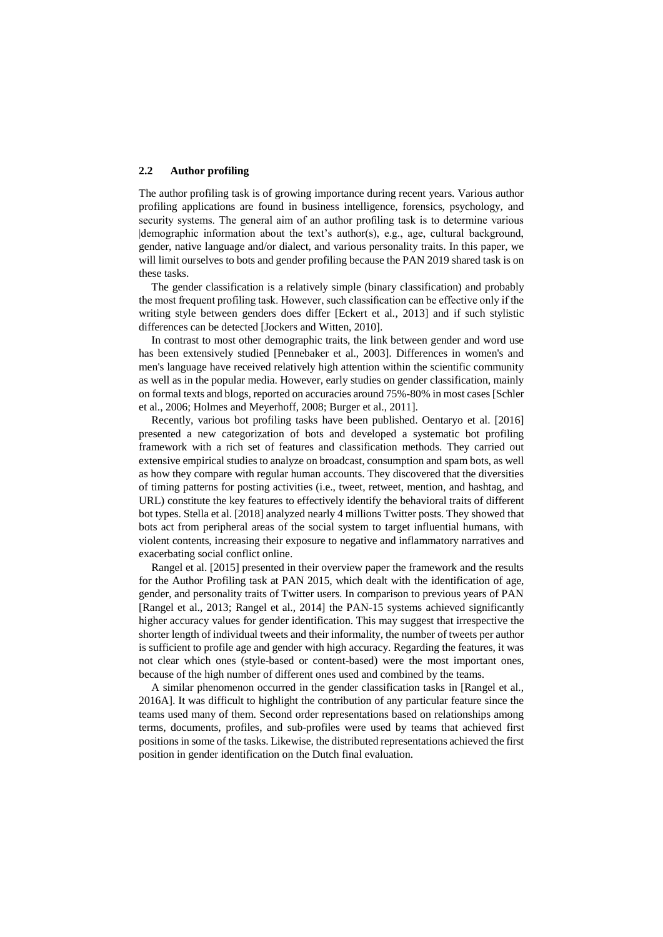#### **2.2 Author profiling**

The author profiling task is of growing importance during recent years. Various author profiling applications are found in business intelligence, forensics, psychology, and security systems. The general aim of an author profiling task is to determine various |demographic information about the text's author(s), e.g., age, cultural background, gender, native language and/or dialect, and various personality traits. In this paper, we will limit ourselves to bots and gender profiling because the PAN 2019 shared task is on these tasks.

The gender classification is a relatively simple (binary classification) and probably the most frequent profiling task. However, such classification can be effective only if the writing style between genders does differ [Eckert et al., 2013] and if such stylistic differences can be detected [Jockers and Witten, 2010].

In contrast to most other demographic traits, the link between gender and word use has been extensively studied [Pennebaker et al., 2003]. Differences in women's and men's language have received relatively high attention within the scientific community as well as in the popular media. However, early studies on gender classification, mainly on formal texts and blogs, reported on accuracies around 75%-80% in most cases [Schler et al., 2006; Holmes and Meyerhoff, 2008; Burger et al., 2011].

Recently, various bot profiling tasks have been published. Oentaryo et al. [2016] presented a new categorization of bots and developed a systematic bot profiling framework with a rich set of features and classification methods. They carried out extensive empirical studies to analyze on broadcast, consumption and spam bots, as well as how they compare with regular human accounts. They discovered that the diversities of timing patterns for posting activities (i.e., tweet, retweet, mention, and hashtag, and URL) constitute the key features to effectively identify the behavioral traits of different bot types. Stella et al. [2018] analyzed nearly 4 millions Twitter posts. They showed that bots act from peripheral areas of the social system to target influential humans, with violent contents, increasing their exposure to negative and inflammatory narratives and exacerbating social conflict online.

Rangel et al. [2015] presented in their overview paper the framework and the results for the Author Profiling task at PAN 2015, which dealt with the identification of age, gender, and personality traits of Twitter users. In comparison to previous years of PAN [Rangel et al., 2013; Rangel et al., 2014] the PAN-15 systems achieved significantly higher accuracy values for gender identification. This may suggest that irrespective the shorter length of individual tweets and their informality, the number of tweets per author is sufficient to profile age and gender with high accuracy. Regarding the features, it was not clear which ones (style-based or content-based) were the most important ones, because of the high number of different ones used and combined by the teams.

A similar phenomenon occurred in the gender classification tasks in [Rangel et al., 2016A]. It was difficult to highlight the contribution of any particular feature since the teams used many of them. Second order representations based on relationships among terms, documents, profiles, and sub-profiles were used by teams that achieved first positions in some of the tasks. Likewise, the distributed representations achieved the first position in gender identification on the Dutch final evaluation.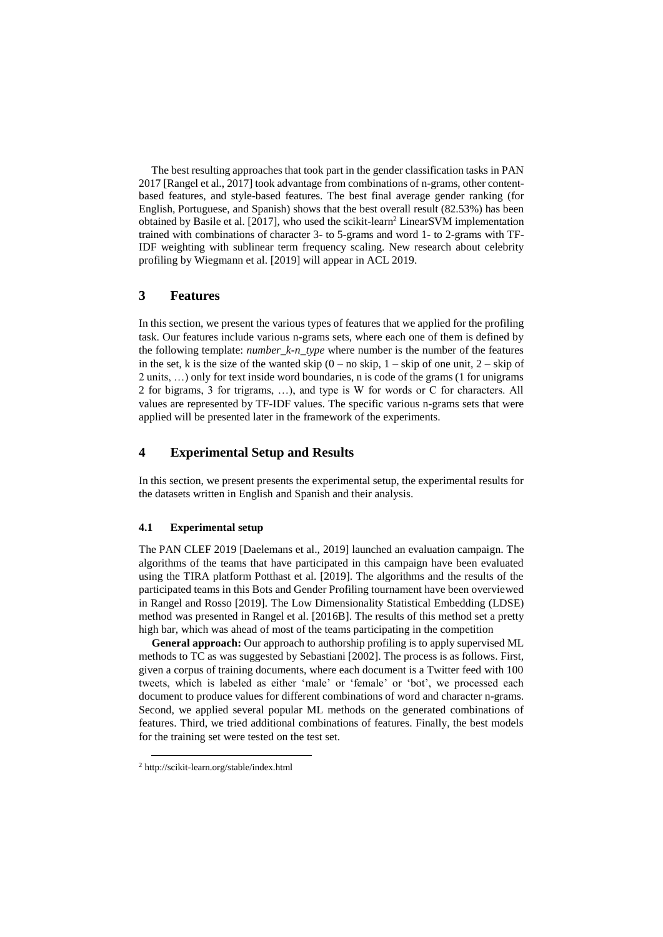The best resulting approaches that took part in the gender classification tasks in PAN 2017 [Rangel et al., 2017] took advantage from combinations of n-grams, other contentbased features, and style-based features. The best final average gender ranking (for English, Portuguese, and Spanish) shows that the best overall result (82.53%) has been obtained by Basile et al. [2017], who used the scikit-learn<sup>2</sup> LinearSVM implementation trained with combinations of character 3- to 5-grams and word 1- to 2-grams with TF-IDF weighting with sublinear term frequency scaling. New research about celebrity profiling by Wiegmann et al. [2019] will appear in ACL 2019.

#### **3 Features**

In this section, we present the various types of features that we applied for the profiling task. Our features include various n-grams sets, where each one of them is defined by the following template: *number\_k-n\_type* where number is the number of the features in the set, k is the size of the wanted skip  $(0 - no \text{ skip}, 1 - \text{skip of one unit}, 2 - \text{skip of}$ 2 units, …) only for text inside word boundaries, n is code of the grams (1 for unigrams 2 for bigrams, 3 for trigrams, …), and type is W for words or C for characters. All values are represented by TF-IDF values. The specific various n-grams sets that were applied will be presented later in the framework of the experiments.

# **4 Experimental Setup and Results**

In this section, we present presents the experimental setup, the experimental results for the datasets written in English and Spanish and their analysis.

#### **4.1 Experimental setup**

The PAN CLEF 2019 [Daelemans et al., 2019] launched an evaluation campaign. The algorithms of the teams that have participated in this campaign have been evaluated using the TIRA platform Potthast et al. [2019]. The algorithms and the results of the participated teams in this Bots and Gender Profiling tournament have been overviewed in Rangel and Rosso [2019]. The Low Dimensionality Statistical Embedding (LDSE) method was presented in Rangel et al. [2016B]. The results of this method set a pretty high bar, which was ahead of most of the teams participating in the competition

**General approach:** Our approach to authorship profiling is to apply supervised ML methods to TC as was suggested by Sebastiani [2002]. The process is as follows. First, given a corpus of training documents, where each document is a Twitter feed with 100 tweets, which is labeled as either 'male' or 'female' or 'bot', we processed each document to produce values for different combinations of word and character n-grams. Second, we applied several popular ML methods on the generated combinations of features. Third, we tried additional combinations of features. Finally, the best models for the training set were tested on the test set.

-

<sup>2</sup> <http://scikit-learn.org/stable/index.html>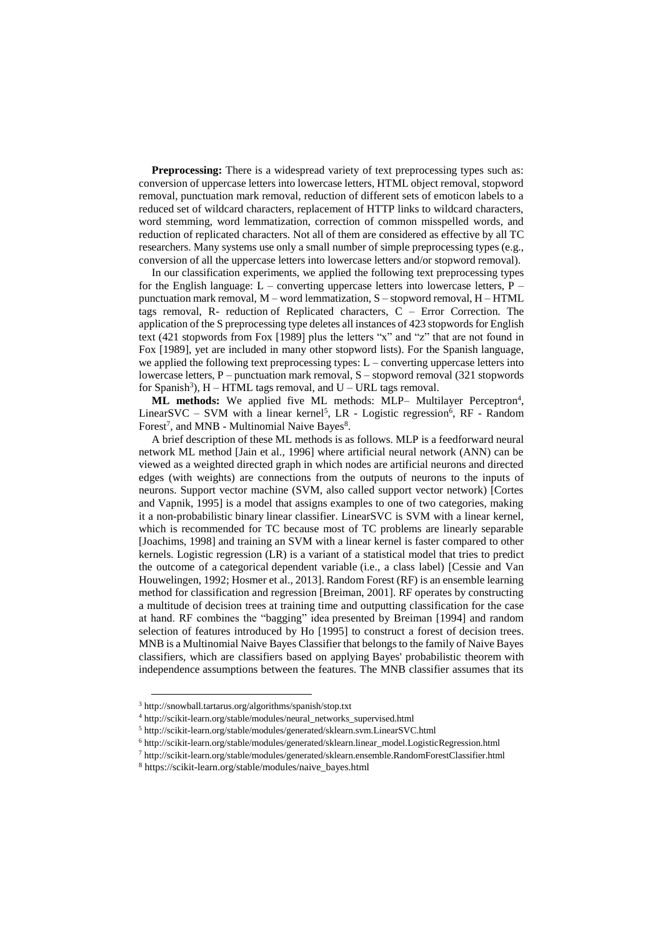**Preprocessing:** There is a widespread variety of text preprocessing types such as: conversion of uppercase letters into lowercase letters, HTML object removal, stopword removal, punctuation mark removal, reduction of different sets of emoticon labels to a reduced set of wildcard characters, replacement of HTTP links to wildcard characters, word stemming, word lemmatization, correction of common misspelled words, and reduction of replicated characters. Not all of them are considered as effective by all TC researchers. Many systems use only a small number of simple preprocessing types (e.g., conversion of all the uppercase letters into lowercase letters and/or stopword removal).

In our classification experiments, we applied the following text preprocessing types for the English language:  $L$  – converting uppercase letters into lowercase letters, P – punctuation mark removal,  $M$  – word lemmatization,  $S$  – stopword removal,  $H$  – HTML tags removal, R- reduction of Replicated characters, C – Error Correction. The application of the S preprocessing type deletes all instances of 423 stopwords for English text (421 stopwords from Fox [1989] plus the letters "x" and "z" that are not found in Fox [1989], yet are included in many other stopword lists). For the Spanish language, we applied the following text preprocessing types:  $L$  – converting uppercase letters into lowercase letters,  $P$  – punctuation mark removal,  $S$  – stopword removal (321 stopwords for Spanish<sup>3</sup>),  $H - HTML$  tags removal, and  $U - URL$  tags removal.

ML methods: We applied five ML methods: MLP- Multilayer Perceptron<sup>4</sup>, LinearSVC – SVM with a linear kernel<sup>5</sup>, LR - Logistic regression<sup>6</sup>, RF - Random Forest<sup>7</sup>, and MNB - Multinomial Naive Bayes<sup>8</sup>.

A brief description of these ML methods is as follows. MLP is a feedforward neural network ML method [Jain et al., 1996] where artificial neural network (ANN) can be viewed as a weighted directed graph in which nodes are artificial neurons and directed edges (with weights) are connections from the outputs of neurons to the inputs of neurons. Support vector machine (SVM, also called support vector network) [Cortes and Vapnik, 1995] is a model that assigns examples to one of two categories, making it a non[-probabilistic](https://en.wikipedia.org/wiki/Probabilistic_classification) [binary](https://en.wikipedia.org/wiki/Binary_classifier) [linear classifier.](https://en.wikipedia.org/wiki/Linear_classifier) LinearSVC is SVM with a linear kernel, which is recommended for TC because most of TC problems are linearly separable [Joachims, 1998] and training an SVM with a linear kernel is faster compared to other kernels. Logistic regression (LR) is a variant of a [statistical model](https://en.wikipedia.org/wiki/Statistical_model) that tries to predict the outcome of a [categorical](http://en.wikipedia.org/wiki/Categorical_variable) [dependent variable](http://en.wikipedia.org/wiki/Dependent_and_independent_variables) (i.e., a class label) [Cessie and Van Houwelingen, 1992; Hosmer et al., 2013]. Random Forest (RF) is an ensemble learning method for classification and regression [Breiman, 2001]. RF operates by constructing a multitude of [decision trees](https://en.wikipedia.org/wiki/Decision_tree_learning) at training time and outputting classification for the case at hand. RF combines the ["bagging"](https://en.wikipedia.org/wiki/Bootstrap_aggregating) idea presented by Breiman [1994] and random selection of features introduced by Ho [1995] to construct a forest of decision trees. MNB is a Multinomial Naive Bayes Classifier that belongs to the family of Naive Bayes classifiers, which are classifiers based on applying Bayes' probabilistic theorem with independence assumptions between the features. The MNB classifier assumes that its

1

<sup>3</sup> <http://snowball.tartarus.org/algorithms/spanish/stop.txt>

<sup>4</sup> [http://scikit-learn.org/stable/modules/neural\\_networks\\_supervised.html](http://scikit-learn.org/stable/modules/neural_networks_supervised.html)

<sup>5</sup> <http://scikit-learn.org/stable/modules/generated/sklearn.svm.LinearSVC.html>

<sup>6</sup> [http://scikit-learn.org/stable/modules/generated/sklearn.linear\\_model.LogisticRegression.html](http://scikit-learn.org/stable/modules/generated/sklearn.linear_model.LogisticRegression.html)

<sup>7</sup> http://scikit-learn.org/stable/modules/generated/sklearn.ensemble.RandomForestClassifier.html

<sup>8</sup> [https://scikit-learn.org/stable/modules/naive\\_bayes.html](https://scikit-learn.org/stable/modules/naive_bayes.html)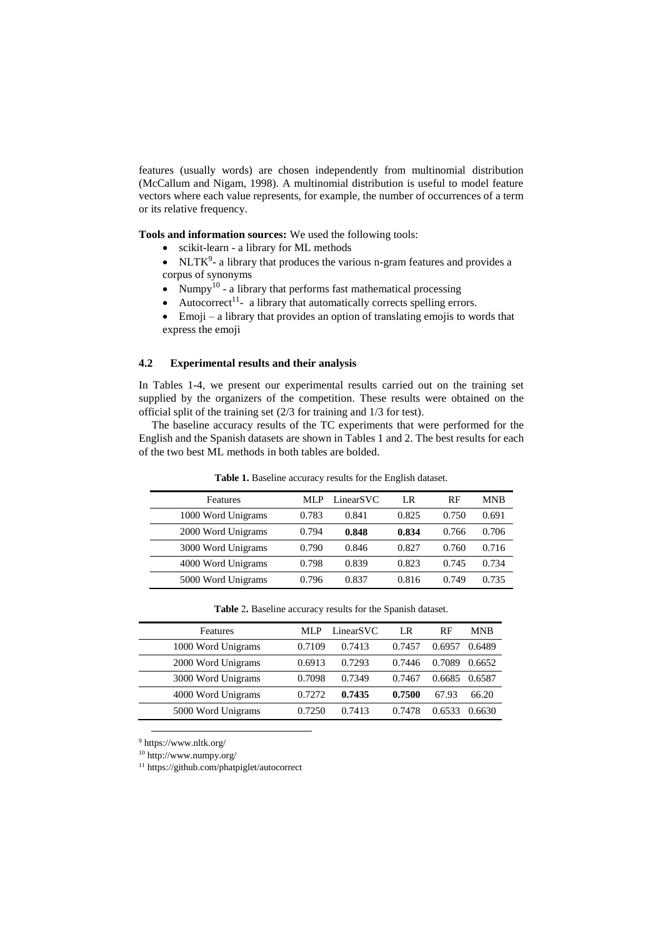features (usually words) are chosen independently from multinomial distribution (McCallum and Nigam, 1998). A multinomial distribution is useful to model feature vectors where each value represents, for example, the number of occurrences of a term or its relative frequency.

**Tools and information sources:** We used the following tools:

- scikit-learn a library for ML methods
- $\bullet$  NLTK<sup>9</sup>- a library that produces the various n-gram features and provides a corpus of synonyms
- Numpy<sup>10</sup> a library that performs fast mathematical processing
- $\bullet$  Autocorrect<sup>11</sup>- a library that automatically corrects spelling errors.
- Emoji a library that provides an option of translating emojis to words that express the emoji

#### **4.2 Experimental results and their analysis**

In Tables 1-4, we present our experimental results carried out on the training set supplied by the organizers of the competition. These results were obtained on the official split of the training set (2/3 for training and 1/3 for test).

The baseline accuracy results of the TC experiments that were performed for the English and the Spanish datasets are shown in Tables 1 and 2. The best results for each of the two best ML methods in both tables are bolded.

| Features           | MLP   | LinearSVC | LR    | RF    | <b>MNB</b> |
|--------------------|-------|-----------|-------|-------|------------|
| 1000 Word Unigrams | 0.783 | 0.841     | 0.825 | 0.750 | 0.691      |
| 2000 Word Unigrams | 0.794 | 0.848     | 0.834 | 0.766 | 0.706      |
| 3000 Word Unigrams | 0.790 | 0.846     | 0.827 | 0.760 | 0.716      |
| 4000 Word Unigrams | 0.798 | 0.839     | 0.823 | 0.745 | 0.734      |
| 5000 Word Unigrams | 0.796 | 0.837     | 0.816 | 0.749 | 0.735      |

**Table 1.** Baseline accuracy results for the English dataset.

| <b>Features</b>    | ML P   | LinearSVC | LR     | RF     | MNB    |
|--------------------|--------|-----------|--------|--------|--------|
| 1000 Word Unigrams | 0.7109 | 0.7413    | 0.7457 | 0.6957 | 0.6489 |
| 2000 Word Unigrams | 0.6913 | 0.7293    | 0.7446 | 0.7089 | 0.6652 |
| 3000 Word Unigrams | 0.7098 | 0.7349    | 0.7467 | 0.6685 | 0.6587 |
| 4000 Word Unigrams | 0.7272 | 0.7435    | 0.7500 | 67.93  | 66.20  |
| 5000 Word Unigrams | 0.7250 | 0.7413    | 0.7478 | 0.6533 | 0.6630 |
|                    |        |           |        |        |        |

**Table** 2**.** Baseline accuracy results for the Spanish dataset.

<sup>9</sup> <https://www.nltk.org/>

1

<sup>10</sup> <http://www.numpy.org/>

<sup>11</sup> <https://github.com/phatpiglet/autocorrect>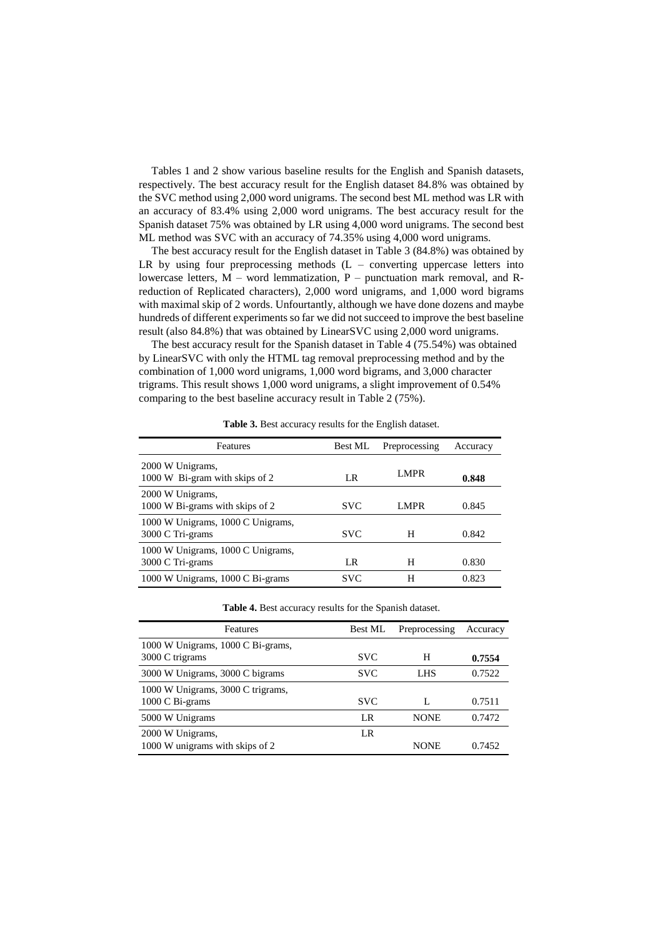Tables 1 and 2 show various baseline results for the English and Spanish datasets, respectively. The best accuracy result for the English dataset 84.8% was obtained by the SVC method using 2,000 word unigrams. The second best ML method was LR with an accuracy of 83.4% using 2,000 word unigrams. The best accuracy result for the Spanish dataset 75% was obtained by LR using 4,000 word unigrams. The second best ML method was SVC with an accuracy of 74.35% using 4,000 word unigrams.

The best accuracy result for the English dataset in Table 3 (84.8%) was obtained by LR by using four preprocessing methods  $(L -$  converting uppercase letters into lowercase letters,  $M -$  word lemmatization,  $P -$  punctuation mark removal, and Rreduction of Replicated characters), 2,000 word unigrams, and 1,000 word bigrams with maximal skip of 2 words. Unfourtantly, although we have done dozens and maybe hundreds of different experiments so far we did not succeed to improve the best baseline result (also 84.8%) that was obtained by LinearSVC using 2,000 word unigrams.

The best accuracy result for the Spanish dataset in Table 4 (75.54%) was obtained by LinearSVC with only the HTML tag removal preprocessing method and by the combination of 1,000 word unigrams, 1,000 word bigrams, and 3,000 character trigrams. This result shows 1,000 word unigrams, a slight improvement of 0.54% comparing to the best baseline accuracy result in Table 2 (75%).

| Features                                              | <b>Best ML</b> | Preprocessing | Accuracy |
|-------------------------------------------------------|----------------|---------------|----------|
| 2000 W Unigrams,<br>1000 W Bi-gram with skips of 2    | LR             | <b>LMPR</b>   | 0.848    |
| 2000 W Unigrams,<br>1000 W Bi-grams with skips of 2   | <b>SVC</b>     | LMPR          | 0.845    |
| 1000 W Unigrams, 1000 C Unigrams,<br>3000 C Tri-grams | <b>SVC</b>     | H             | 0.842    |
| 1000 W Unigrams, 1000 C Unigrams,<br>3000 C Tri-grams | LR             | н             | 0.830    |
| 1000 W Unigrams, 1000 C Bi-grams                      | SVC.           | н             | 0.823    |

**Table 3.** Best accuracy results for the English dataset.

| Features                          | Best ML    | Preprocessing | Accuracy |
|-----------------------------------|------------|---------------|----------|
| 1000 W Unigrams, 1000 C Bi-grams, |            |               |          |
| 3000 C trigrams                   | <b>SVC</b> | H             | 0.7554   |
| 3000 W Unigrams, 3000 C bigrams   | <b>SVC</b> | LHS.          | 0.7522   |
| 1000 W Unigrams, 3000 C trigrams, |            |               |          |
| 1000 C Bi-grams                   | <b>SVC</b> | L             | 0.7511   |
| 5000 W Unigrams                   | LR         | <b>NONE</b>   | 0.7472   |
| 2000 W Unigrams,                  | LR         |               |          |
| 1000 W unigrams with skips of 2   |            | <b>NONE</b>   | 0.7452   |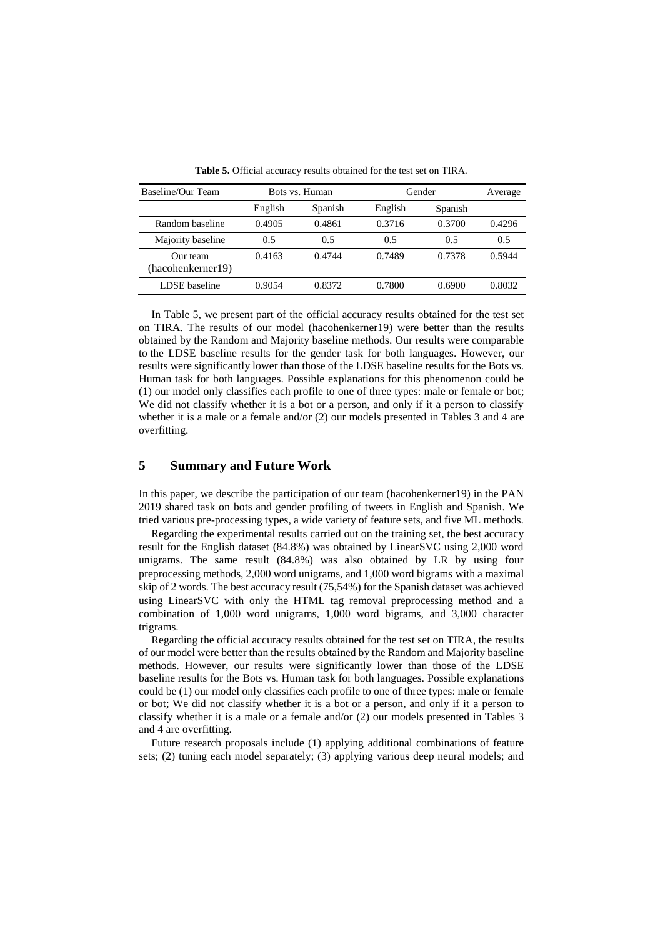| Baseline/Our Team             | Bots vs. Human |         |         | Gender  |        |  |
|-------------------------------|----------------|---------|---------|---------|--------|--|
|                               | English        | Spanish | English | Spanish |        |  |
| Random baseline               | 0.4905         | 0.4861  | 0.3716  | 0.3700  | 0.4296 |  |
| Majority baseline             | 0.5            | 0.5     | 0.5     | 0.5     | 0.5    |  |
| Our team<br>(hacohenkerner19) | 0.4163         | 0.4744  | 0.7489  | 0.7378  | 0.5944 |  |
| LDSE baseline                 | 0.9054         | 0.8372  | 0.7800  | 0.6900  | 0.8032 |  |

**Table 5.** Official accuracy results obtained for the test set on TIRA.

In Table 5, we present part of the official accuracy results obtained for the test set on TIRA. The results of our model (hacohenkerner19) were better than the results obtained by the Random and Majority baseline methods. Our results were comparable to the LDSE baseline results for the gender task for both languages. However, our results were significantly lower than those of the LDSE baseline results for the Bots vs. Human task for both languages. Possible explanations for this phenomenon could be (1) our model only classifies each profile to one of three types: male or female or bot; We did not classify whether it is a bot or a person, and only if it a person to classify whether it is a male or a female and/or (2) our models presented in Tables 3 and 4 are overfitting.

## **5 Summary and Future Work**

In this paper, we describe the participation of our team (hacohenkerner19) in the PAN 2019 shared task on bots and gender profiling of tweets in English and Spanish. We tried various pre-processing types, a wide variety of feature sets, and five ML methods.

Regarding the experimental results carried out on the training set, the best accuracy result for the English dataset (84.8%) was obtained by LinearSVC using 2,000 word unigrams. The same result (84.8%) was also obtained by LR by using four preprocessing methods, 2,000 word unigrams, and 1,000 word bigrams with a maximal skip of 2 words. The best accuracy result (75,54%) for the Spanish dataset was achieved using LinearSVC with only the HTML tag removal preprocessing method and a combination of 1,000 word unigrams, 1,000 word bigrams, and 3,000 character trigrams.

Regarding the official accuracy results obtained for the test set on TIRA, the results of our model were better than the results obtained by the Random and Majority baseline methods. However, our results were significantly lower than those of the LDSE baseline results for the Bots vs. Human task for both languages. Possible explanations could be (1) our model only classifies each profile to one of three types: male or female or bot; We did not classify whether it is a bot or a person, and only if it a person to classify whether it is a male or a female and/or (2) our models presented in Tables 3 and 4 are overfitting.

Future research proposals include (1) applying additional combinations of feature sets; (2) tuning each model separately; (3) applying various deep neural models; and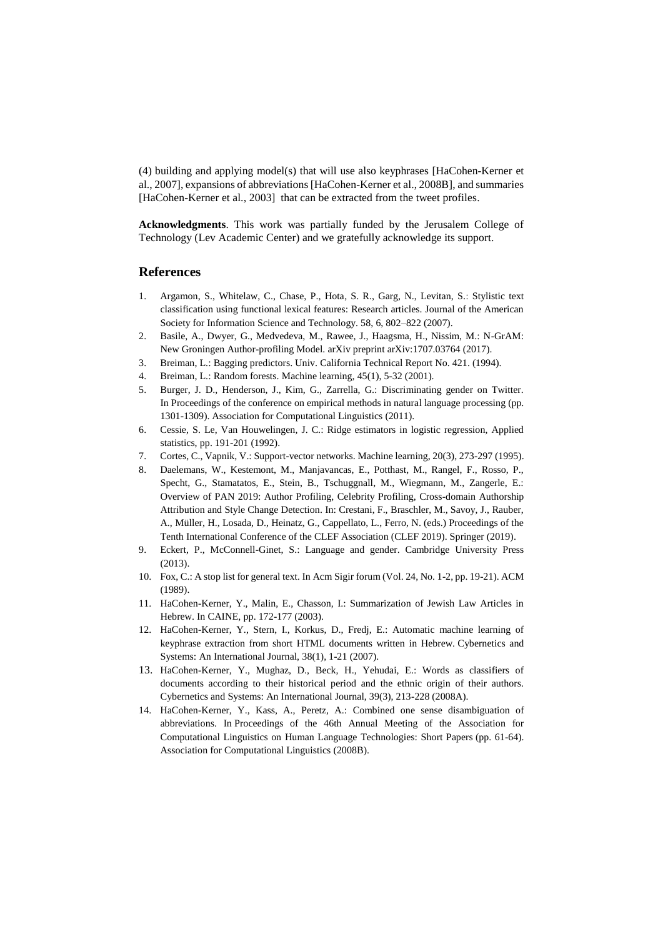(4) building and applying model(s) that will use also keyphrases [HaCohen-Kerner et al., 2007], expansions of abbreviations [HaCohen-Kerner et al., 2008B], and summaries [HaCohen-Kerner et al., 2003] that can be extracted from the tweet profiles.

**Acknowledgments**. This work was partially funded by the Jerusalem College of Technology (Lev Academic Center) and we gratefully acknowledge its support.

#### **References**

- 1. Argamon, S., Whitelaw, C., Chase, P., Hota, S. R., Garg, N., Levitan, S.: Stylistic text classification using functional lexical features: Research articles. Journal of the American Society for Information Science and Technology. 58, 6, 802–822 (2007).
- 2. Basile, A., Dwyer, G., Medvedeva, M., Rawee, J., Haagsma, H., Nissim, M.: N-GrAM: New Groningen Author-profiling Model. arXiv preprint arXiv:1707.03764 (2017).
- 3. Breiman, L.: Bagging predictors. Univ. California Technical Report No. 421. (1994).
- 4. Breiman, L.: Random forests. Machine learning, 45(1), 5-32 (2001).
- 5. Burger, J. D., Henderson, J., Kim, G., Zarrella, G.: Discriminating gender on Twitter. In Proceedings of the conference on empirical methods in natural language processing (pp. 1301-1309). Association for Computational Linguistics (2011).
- 6. Cessie, S. Le, Van Houwelingen, J. C.: Ridge estimators in logistic regression, Applied statistics, pp. 191-201 (1992).
- 7. Cortes, C., Vapnik, V.: Support-vector networks. Machine learning, 20(3), 273-297 (1995).
- 8. Daelemans, W., Kestemont, M., Manjavancas, E., Potthast, M., Rangel, F., Rosso, P., Specht, G., Stamatatos, E., Stein, B., Tschuggnall, M., Wiegmann, M., Zangerle, E.: Overview of PAN 2019: Author Profiling, Celebrity Profiling, Cross-domain Authorship Attribution and Style Change Detection. In: Crestani, F., Braschler, M., Savoy, J., Rauber, A., Müller, H., Losada, D., Heinatz, G., Cappellato, L., Ferro, N. (eds.) Proceedings of the Tenth International Conference of the CLEF Association (CLEF 2019). Springer (2019).
- 9. Eckert, P., McConnell-Ginet, S.: Language and gender. Cambridge University Press (2013).
- 10. Fox, C.: A stop list for general text. In Acm Sigir forum (Vol. 24, No. 1-2, pp. 19-21). ACM (1989).
- 11. HaCohen-Kerner, Y., Malin, E., Chasson, I.: Summarization of Jewish Law Articles in Hebrew. In CAINE, pp. 172-177 (2003).
- 12. HaCohen-Kerner, Y., Stern, I., Korkus, D., Fredj, E.: Automatic machine learning of keyphrase extraction from short HTML documents written in Hebrew. Cybernetics and Systems: An International Journal, 38(1), 1-21 (2007).
- 13. HaCohen-Kerner, Y., Mughaz, D., Beck, H., Yehudai, E.: Words as classifiers of documents according to their historical period and the ethnic origin of their authors. Cybernetics and Systems: An International Journal, 39(3), 213-228 (2008A).
- 14. HaCohen-Kerner, Y., Kass, A., Peretz, A.: Combined one sense disambiguation of abbreviations. In Proceedings of the 46th Annual Meeting of the Association for Computational Linguistics on Human Language Technologies: Short Papers (pp. 61-64). Association for Computational Linguistics (2008B).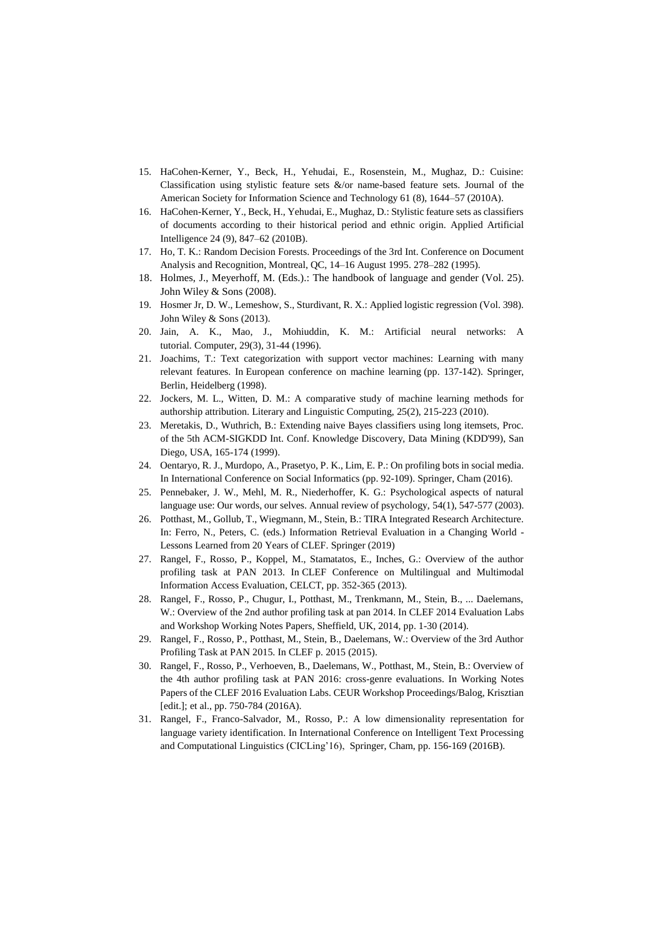- 15. HaCohen-Kerner, Y., Beck, H., Yehudai, E., Rosenstein, M., Mughaz, D.: Cuisine: Classification using stylistic feature sets &/or name-based feature sets. Journal of the American Society for Information Science and Technology 61 (8), 1644–57 (2010A).
- 16. HaCohen-Kerner, Y., Beck, H., Yehudai, E., Mughaz, D.: Stylistic feature sets as classifiers of documents according to their historical period and ethnic origin. Applied Artificial Intelligence 24 (9), 847–62 (2010B).
- 17. Ho, T. K.: [Random Decision Forests.](http://ect.bell-labs.com/who/tkh/publications/papers/odt.pdf) Proceedings of the 3rd Int. Conference on Document Analysis and Recognition, Montreal, QC, 14–16 August 1995. 278–282 (1995).
- 18. Holmes, J., Meyerhoff, M. (Eds.).: The handbook of language and gender (Vol. 25). John Wiley & Sons (2008).
- 19. Hosmer Jr, D. W., Lemeshow, S., Sturdivant, R. X.: Applied logistic regression (Vol. 398). John Wiley & Sons (2013).
- 20. Jain, A. K., Mao, J., Mohiuddin, K. M.: Artificial neural networks: A tutorial. Computer, 29(3), 31-44 (1996).
- 21. Joachims, T.: Text categorization with support vector machines: Learning with many relevant features. In European conference on machine learning (pp. 137-142). Springer, Berlin, Heidelberg (1998).
- 22. Jockers, M. L., Witten, D. M.: A comparative study of machine learning methods for authorship attribution. Literary and Linguistic Computing, 25(2), 215-223 (2010).
- 23. Meretakis, D., Wuthrich, B.: Extending naive Bayes classifiers using long itemsets, Proc. of the 5th ACM-SIGKDD Int. Conf. Knowledge Discovery, Data Mining (KDD'99), San Diego, USA, 165-174 (1999).
- 24. Oentaryo, R. J., Murdopo, A., Prasetyo, P. K., Lim, E. P.: On profiling bots in social media. In International Conference on Social Informatics (pp. 92-109). Springer, Cham (2016).
- 25. Pennebaker, J. W., Mehl, M. R., Niederhoffer, K. G.: Psychological aspects of natural language use: Our words, our selves. Annual review of psychology, 54(1), 547-577 (2003).
- 26. Potthast, M., Gollub, T., Wiegmann, M., Stein, B.: TIRA Integrated Research Architecture. In: Ferro, N., Peters, C. (eds.) Information Retrieval Evaluation in a Changing World - Lessons Learned from 20 Years of CLEF. Springer (2019)
- 27. Rangel, F., Rosso, P., Koppel, M., Stamatatos, E., Inches, G.: Overview of the author profiling task at PAN 2013. In CLEF Conference on Multilingual and Multimodal Information Access Evaluation, CELCT, pp. 352-365 (2013).
- 28. Rangel, F., Rosso, P., Chugur, I., Potthast, M., Trenkmann, M., Stein, B., ... Daelemans, W.: Overview of the 2nd author profiling task at pan 2014. In CLEF 2014 Evaluation Labs and Workshop Working Notes Papers, Sheffield, UK, 2014, pp. 1-30 (2014).
- 29. Rangel, F., Rosso, P., Potthast, M., Stein, B., Daelemans, W.: Overview of the 3rd Author Profiling Task at PAN 2015. In CLEF p. 2015 (2015).
- 30. Rangel, F., Rosso, P., Verhoeven, B., Daelemans, W., Potthast, M., Stein, B.: Overview of the 4th author profiling task at PAN 2016: cross-genre evaluations. In Working Notes Papers of the CLEF 2016 Evaluation Labs. CEUR Workshop Proceedings/Balog, Krisztian [edit.]; et al., pp. 750-784 (2016A).
- 31. Rangel, F., Franco-Salvador, M., Rosso, P.: A low dimensionality representation for language variety identification. In International Conference on Intelligent Text Processing and Computational Linguistics (CICLing'16), Springer, Cham, pp. 156-169 (2016B).